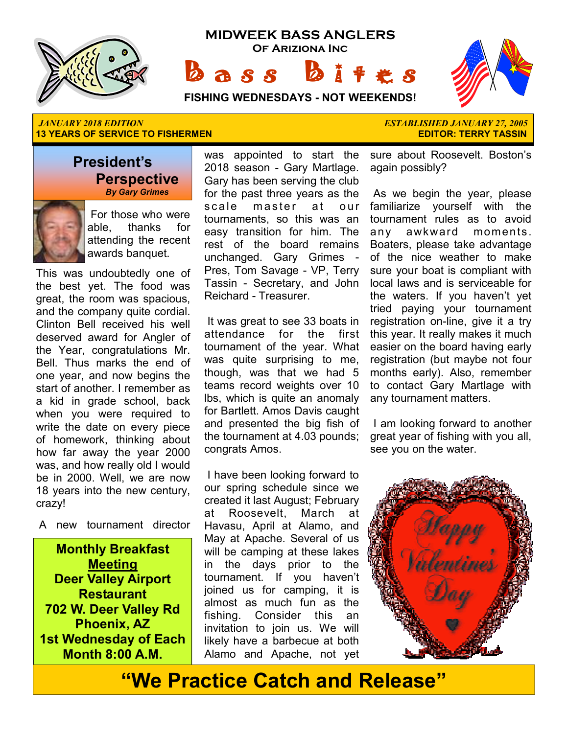

**MIDWEEK BASS ANGLERS Of Ariziona Inc**  $a s s$ 

 ★ ★ ★ ★ ★ ★ ★  $\mathbb{R}$  ★ ★ ★

**FISHING WEDNESDAYS - NOT WEEKENDS!**

#### *JANUARY 2018 EDITION ESTABLISHED JANUARY 27, 2005*  **13 YEARS OF SERVICE TO FISHERMEN**

### **President's Perspective**   *By Gary Grimes*



 For those who were able, thanks for attending the recent awards banquet.

This was undoubtedly one of the best yet. The food was great, the room was spacious, and the company quite cordial. Clinton Bell received his well deserved award for Angler of the Year, congratulations Mr. Bell. Thus marks the end of one year, and now begins the start of another. I remember as a kid in grade school, back when you were required to write the date on every piece of homework, thinking about how far away the year 2000 was, and how really old I would be in 2000. Well, we are now 18 years into the new century, crazy!

A new tournament director

**Monthly Breakfast Meeting Deer Valley Airport Restaurant 702 W. Deer Valley Rd Phoenix, AZ 1st Wednesday of Each Month 8:00 A.M.** 

was appointed to start the 2018 season - Gary Martlage. Gary has been serving the club for the past three years as the scale master at our tournaments, so this was an easy transition for him. The rest of the board remains unchanged. Gary Grimes - Pres, Tom Savage - VP, Terry Tassin - Secretary, and John Reichard - Treasurer.

 It was great to see 33 boats in attendance for the first tournament of the year. What was quite surprising to me, though, was that we had 5 teams record weights over 10 lbs, which is quite an anomaly for Bartlett. Amos Davis caught and presented the big fish of the tournament at 4.03 pounds; congrats Amos.

 I have been looking forward to our spring schedule since we created it last August; February at Roosevelt, March at Havasu, April at Alamo, and May at Apache. Several of us will be camping at these lakes in the days prior to the tournament. If you haven't joined us for camping, it is almost as much fun as the fishing. Consider this an invitation to join us. We will likely have a barbecue at both Alamo and Apache, not yet

sure about Roosevelt. Boston's again possibly?

 As we begin the year, please familiarize yourself with the tournament rules as to avoid any awkward moments. Boaters, please take advantage of the nice weather to make sure your boat is compliant with local laws and is serviceable for the waters. If you haven't yet tried paying your tournament registration on-line, give it a try this year. It really makes it much easier on the board having early registration (but maybe not four months early). Also, remember to contact Gary Martlage with any tournament matters.

 I am looking forward to another great year of fishing with you all, see you on the water.



# **"We Practice Catch and Release"**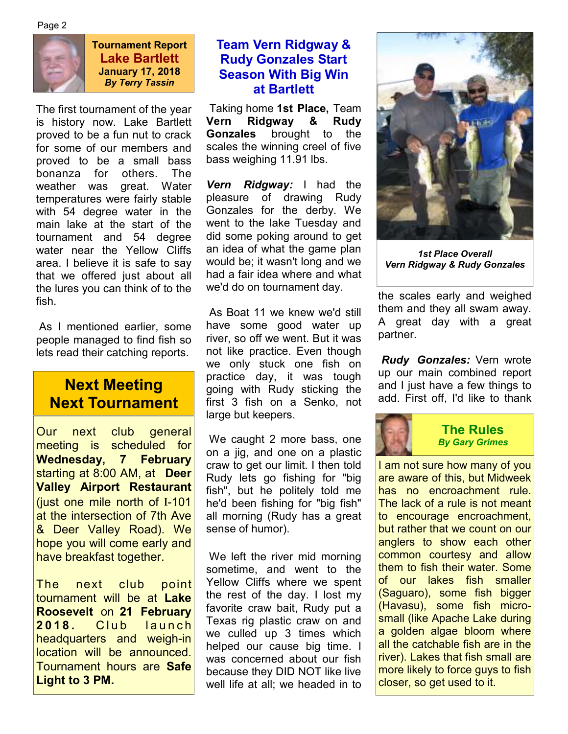Page 2



**Tournament Report Lake Bartlett January 17, 2018**  *By Terry Tassin* 

The first tournament of the year is history now. Lake Bartlett proved to be a fun nut to crack for some of our members and proved to be a small bass bonanza for others. The weather was great. Water temperatures were fairly stable with 54 degree water in the main lake at the start of the tournament and 54 degree water near the Yellow Cliffs area. I believe it is safe to say that we offered just about all the lures you can think of to the fish.

 As I mentioned earlier, some people managed to find fish so lets read their catching reports.

# **Next Meeting Next Tournament**

Our next club general meeting is scheduled for **Wednesday, 7 February**  starting at 8:00 AM, at **Deer Valley Airport Restaurant**  (just one mile north of I-101 at the intersection of 7th Ave & Deer Valley Road). We hope you will come early and have breakfast together.

The next club point tournament will be at **Lake Roosevelt** on **21 February 2018.** Club launch headquarters and weigh-in location will be announced. Tournament hours are **Safe Light to 3 PM.**

# **Team Vern Ridgway & Rudy Gonzales Start Season With Big Win at Bartlett**

 Taking home **1st Place,** Team **Vern Ridgway & Rudy Gonzales** brought to the scales the winning creel of five bass weighing 11.91 lbs.

*Vern Ridgway:* I had the pleasure of drawing Rudy Gonzales for the derby. We went to the lake Tuesday and did some poking around to get an idea of what the game plan would be; it wasn't long and we had a fair idea where and what we'd do on tournament day.

 As Boat 11 we knew we'd still have some good water up river, so off we went. But it was not like practice. Even though we only stuck one fish on practice day, it was tough going with Rudy sticking the first 3 fish on a Senko, not large but keepers.

 We caught 2 more bass, one on a jig, and one on a plastic craw to get our limit. I then told Rudy lets go fishing for "big fish", but he politely told me he'd been fishing for "big fish" all morning (Rudy has a great sense of humor).

We left the river mid morning sometime, and went to the Yellow Cliffs where we spent the rest of the day. I lost my favorite craw bait, Rudy put a Texas rig plastic craw on and we culled up 3 times which helped our cause big time. I was concerned about our fish because they DID NOT like live well life at all; we headed in to



*1st Place Overall Vern Ridgway & Rudy Gonzales* 

the scales early and weighed them and they all swam away. A great day with a great partner.

*Rudy Gonzales:* Vern wrote up our main combined report and I just have a few things to add. First off, I'd like to thank



**The Rules**  *By Gary Grimes* 

I am not sure how many of you are aware of this, but Midweek has no encroachment rule. The lack of a rule is not meant to encourage encroachment, but rather that we count on our anglers to show each other common courtesy and allow them to fish their water. Some of our lakes fish smaller (Saguaro), some fish bigger (Havasu), some fish microsmall (like Apache Lake during a golden algae bloom where all the catchable fish are in the river). Lakes that fish small are more likely to force guys to fish closer, so get used to it.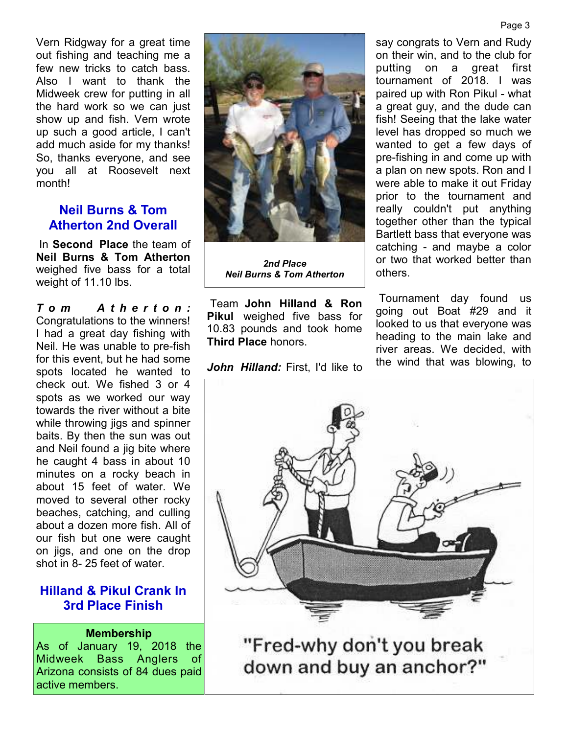Vern Ridgway for a great time out fishing and teaching me a few new tricks to catch bass. Also I want to thank the Midweek crew for putting in all the hard work so we can just show up and fish. Vern wrote up such a good article, I can't add much aside for my thanks! So, thanks everyone, and see you all at Roosevelt next month!

### **Neil Burns & Tom Atherton 2nd Overall**

 In **Second Place** the team of **Neil Burns & Tom Atherton**  weighed five bass for a total weight of 11.10 lbs.

*T o m A t h e r t o n :*  Congratulations to the winners! I had a great day fishing with Neil. He was unable to pre-fish for this event, but he had some spots located he wanted to check out. We fished 3 or 4 spots as we worked our way towards the river without a bite while throwing jigs and spinner baits. By then the sun was out and Neil found a jig bite where he caught 4 bass in about 10 minutes on a rocky beach in about 15 feet of water. We moved to several other rocky beaches, catching, and culling about a dozen more fish. All of our fish but one were caught on jigs, and one on the drop shot in 8- 25 feet of water.

# **Hilland & Pikul Crank In 3rd Place Finish**

#### **Membership**

As of January 19, 2018 the Midweek Bass Anglers of Arizona consists of 84 dues paid active members.

*2nd Place Neil Burns & Tom Atherton* 

 Team **John Hilland & Ron Pikul** weighed five bass for 10.83 pounds and took home **Third Place** honors.

*John Hilland:* First, I'd like to

say congrats to Vern and Rudy on their win, and to the club for putting on a great first tournament of 2018. I was paired up with Ron Pikul - what a great guy, and the dude can fish! Seeing that the lake water level has dropped so much we wanted to get a few days of pre-fishing in and come up with a plan on new spots. Ron and I were able to make it out Friday prior to the tournament and really couldn't put anything together other than the typical Bartlett bass that everyone was catching - and maybe a color or two that worked better than others.

 Tournament day found us going out Boat #29 and it looked to us that everyone was heading to the main lake and river areas. We decided, with the wind that was blowing, to





"Fred-why don't you break down and buy an anchor?"

#### Page 3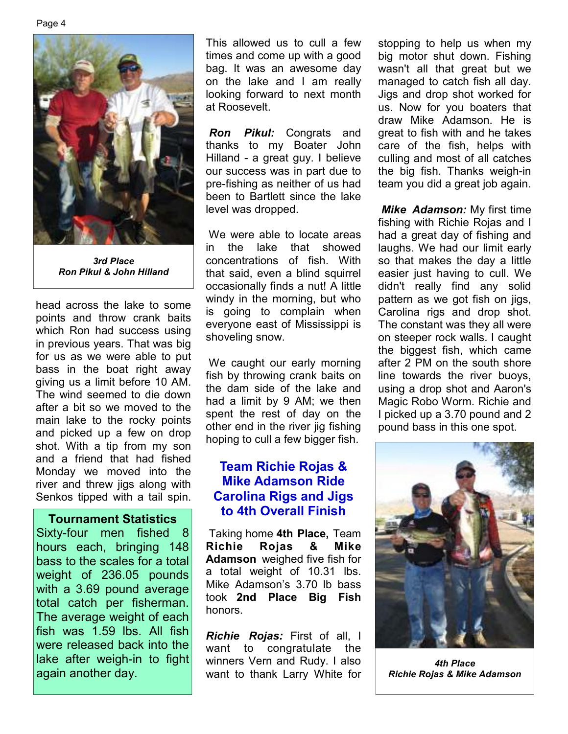Page 4



*3rd Place Ron Pikul & John Hilland* 

head across the lake to some points and throw crank baits which Ron had success using in previous years. That was big for us as we were able to put bass in the boat right away giving us a limit before 10 AM. The wind seemed to die down after a bit so we moved to the main lake to the rocky points and picked up a few on drop shot. With a tip from my son and a friend that had fished Monday we moved into the river and threw jigs along with Senkos tipped with a tail spin.

#### **Tournament Statistics**

Sixty-four men fished 8 hours each, bringing 148 bass to the scales for a total weight of 236.05 pounds with a 3.69 pound average total catch per fisherman. The average weight of each fish was 1.59 lbs. All fish were released back into the lake after weigh-in to fight again another day.

This allowed us to cull a few times and come up with a good bag. It was an awesome day on the lake and I am really looking forward to next month at Roosevelt.

*Ron Pikul:* Congrats and thanks to my Boater John Hilland - a great guy. I believe our success was in part due to pre-fishing as neither of us had been to Bartlett since the lake level was dropped.

 We were able to locate areas in the lake that showed concentrations of fish. With that said, even a blind squirrel occasionally finds a nut! A little windy in the morning, but who is going to complain when everyone east of Mississippi is shoveling snow.

We caught our early morning fish by throwing crank baits on the dam side of the lake and had a limit by 9 AM; we then spent the rest of day on the other end in the river jig fishing hoping to cull a few bigger fish.

# **Team Richie Rojas & Mike Adamson Ride Carolina Rigs and Jigs to 4th Overall Finish**

 Taking home **4th Place,** Team **Richie Rojas & Mike Adamson** weighed five fish for a total weight of 10.31 lbs. Mike Adamson's 3.70 lb bass took **2nd Place Big Fish**  honors.

*Richie Rojas:* First of all, I want to congratulate the winners Vern and Rudy. I also want to thank Larry White for

stopping to help us when my big motor shut down. Fishing wasn't all that great but we managed to catch fish all day. Jigs and drop shot worked for us. Now for you boaters that draw Mike Adamson. He is great to fish with and he takes care of the fish, helps with culling and most of all catches the big fish. Thanks weigh-in team you did a great job again.

*Mike Adamson:* My first time fishing with Richie Rojas and I had a great day of fishing and laughs. We had our limit early so that makes the day a little easier just having to cull. We didn't really find any solid pattern as we got fish on jigs, Carolina rigs and drop shot. The constant was they all were on steeper rock walls. I caught the biggest fish, which came after 2 PM on the south shore line towards the river buoys, using a drop shot and Aaron's Magic Robo Worm. Richie and I picked up a 3.70 pound and 2 pound bass in this one spot.



*4th Place Richie Rojas & Mike Adamson*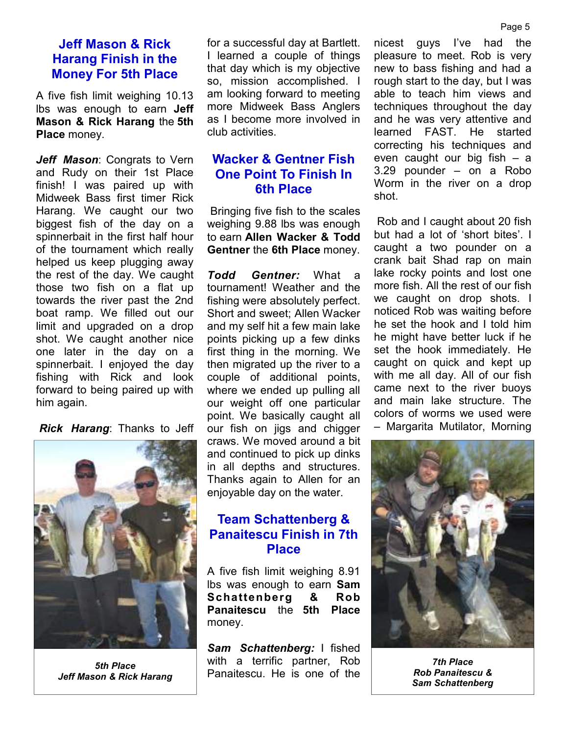### **Jeff Mason & Rick Harang Finish in the Money For 5th Place**

A five fish limit weighing 10.13 lbs was enough to earn **Jeff Mason & Rick Harang** the **5th Place** money.

*Jeff Mason*: Congrats to Vern and Rudy on their 1st Place finish! I was paired up with Midweek Bass first timer Rick Harang. We caught our two biggest fish of the day on a spinnerbait in the first half hour of the tournament which really helped us keep plugging away the rest of the day. We caught those two fish on a flat up towards the river past the 2nd boat ramp. We filled out our limit and upgraded on a drop shot. We caught another nice one later in the day on a spinnerbait. I enjoyed the day fishing with Rick and look forward to being paired up with him again.

*Rick Harang*: Thanks to Jeff



*5th Place Jeff Mason & Rick Harang* 

for a successful day at Bartlett. I learned a couple of things that day which is my objective so, mission accomplished. I am looking forward to meeting more Midweek Bass Anglers as I become more involved in club activities.

# **Wacker & Gentner Fish One Point To Finish In 6th Place**

 Bringing five fish to the scales weighing 9.88 lbs was enough to earn **Allen Wacker & Todd Gentner** the **6th Place** money.

*Todd Gentner:* What a tournament! Weather and the fishing were absolutely perfect. Short and sweet; Allen Wacker and my self hit a few main lake points picking up a few dinks first thing in the morning. We then migrated up the river to a couple of additional points, where we ended up pulling all our weight off one particular point. We basically caught all our fish on jigs and chigger craws. We moved around a bit and continued to pick up dinks in all depths and structures. Thanks again to Allen for an enjoyable day on the water.

# **Team Schattenberg & Panaitescu Finish in 7th Place**

A five fish limit weighing 8.91 lbs was enough to earn **Sam Schattenberg & Rob Panaitescu** the **5th Place**  money.

*Sam Schattenberg:* I fished with a terrific partner, Rob Panaitescu. He is one of the

nicest guys I've had the pleasure to meet. Rob is very new to bass fishing and had a rough start to the day, but I was able to teach him views and techniques throughout the day and he was very attentive and learned FAST. He started correcting his techniques and even caught our big fish – a 3.29 pounder – on a Robo Worm in the river on a drop shot.

 Rob and I caught about 20 fish but had a lot of 'short bites'. I caught a two pounder on a crank bait Shad rap on main lake rocky points and lost one more fish. All the rest of our fish we caught on drop shots. I noticed Rob was waiting before he set the hook and I told him he might have better luck if he set the hook immediately. He caught on quick and kept up with me all day. All of our fish came next to the river buoys and main lake structure. The colors of worms we used were – Margarita Mutilator, Morning



*7th Place Rob Panaitescu & Sam Schattenberg*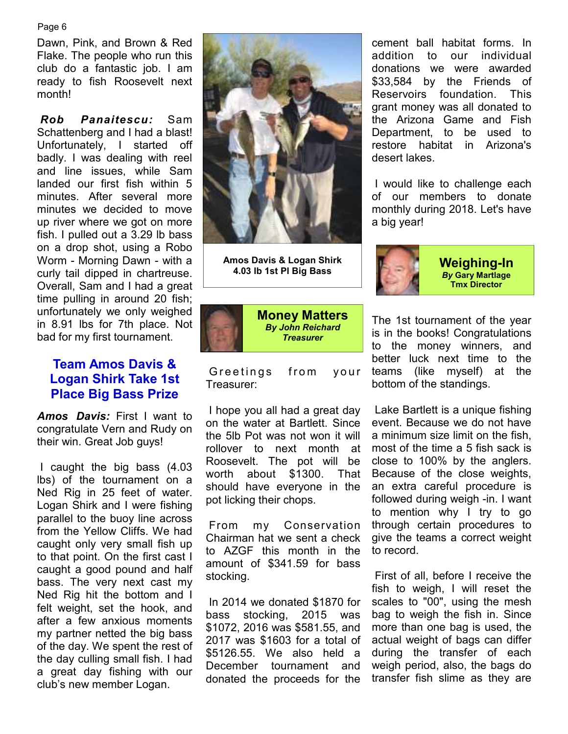Page 6

Dawn, Pink, and Brown & Red Flake. The people who run this club do a fantastic job. I am ready to fish Roosevelt next month!

*Rob Panaitescu:* Sam Schattenberg and I had a blast! Unfortunately, I started off badly. I was dealing with reel and line issues, while Sam landed our first fish within 5 minutes. After several more minutes we decided to move up river where we got on more fish. I pulled out a 3.29 lb bass on a drop shot, using a Robo Worm - Morning Dawn - with a curly tail dipped in chartreuse. Overall, Sam and I had a great time pulling in around 20 fish; unfortunately we only weighed in 8.91 lbs for 7th place. Not bad for my first tournament.

# **Team Amos Davis & Logan Shirk Take 1st Place Big Bass Prize**

*Amos Davis:* First I want to congratulate Vern and Rudy on their win. Great Job guys!

 I caught the big bass (4.03 lbs) of the tournament on a Ned Rig in 25 feet of water. Logan Shirk and I were fishing parallel to the buoy line across from the Yellow Cliffs. We had caught only very small fish up to that point. On the first cast I caught a good pound and half bass. The very next cast my Ned Rig hit the bottom and I felt weight, set the hook, and after a few anxious moments my partner netted the big bass of the day. We spent the rest of the day culling small fish. I had a great day fishing with our club's new member Logan.



**Amos Davis & Logan Shirk 4.03 lb 1st Pl Big Bass** 



Greetings from your Treasurer:

 I hope you all had a great day on the water at Bartlett. Since the 5lb Pot was not won it will rollover to next month at Roosevelt. The pot will be worth about \$1300. That should have everyone in the pot licking their chops.

 From my Conservation Chairman hat we sent a check to AZGF this month in the amount of \$341.59 for bass stocking.

 In 2014 we donated \$1870 for bass stocking, 2015 was \$1072, 2016 was \$581.55, and 2017 was \$1603 for a total of \$5126.55. We also held a December tournament and donated the proceeds for the cement ball habitat forms. In addition to our individual donations we were awarded \$33,584 by the Friends of Reservoirs foundation. This grant money was all donated to the Arizona Game and Fish Department, to be used to restore habitat in Arizona's desert lakes.

 I would like to challenge each of our members to donate monthly during 2018. Let's have a big year!



**Weighing-In**  *By* **Gary Martlage Tmx Director**

The 1st tournament of the year is in the books! Congratulations to the money winners, and better luck next time to the teams (like myself) at the bottom of the standings.

 Lake Bartlett is a unique fishing event. Because we do not have a minimum size limit on the fish, most of the time a 5 fish sack is close to 100% by the anglers. Because of the close weights, an extra careful procedure is followed during weigh -in. I want to mention why I try to go through certain procedures to give the teams a correct weight to record.

 First of all, before I receive the fish to weigh, I will reset the scales to "00", using the mesh bag to weigh the fish in. Since more than one bag is used, the actual weight of bags can differ during the transfer of each weigh period, also, the bags do transfer fish slime as they are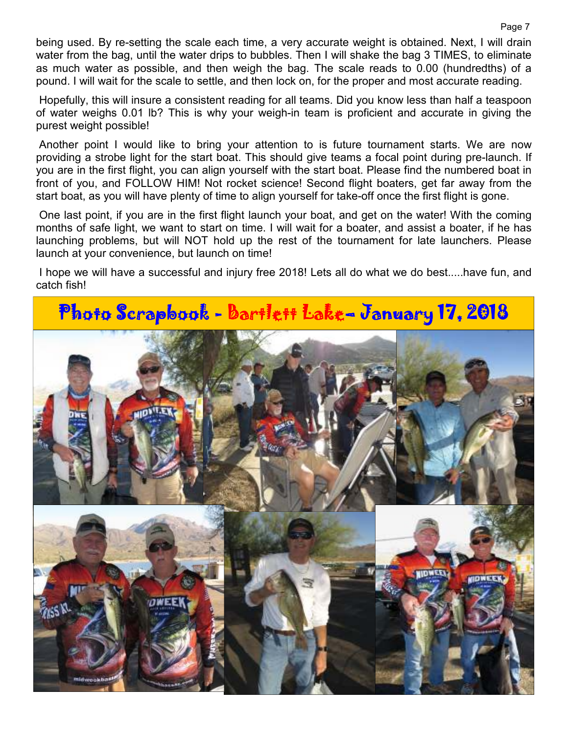being used. By re-setting the scale each time, a very accurate weight is obtained. Next, I will drain water from the bag, until the water drips to bubbles. Then I will shake the bag 3 TIMES, to eliminate as much water as possible, and then weigh the bag. The scale reads to 0.00 (hundredths) of a pound. I will wait for the scale to settle, and then lock on, for the proper and most accurate reading.

 Hopefully, this will insure a consistent reading for all teams. Did you know less than half a teaspoon of water weighs 0.01 lb? This is why your weigh-in team is proficient and accurate in giving the purest weight possible!

 Another point I would like to bring your attention to is future tournament starts. We are now providing a strobe light for the start boat. This should give teams a focal point during pre-launch. If you are in the first flight, you can align yourself with the start boat. Please find the numbered boat in front of you, and FOLLOW HIM! Not rocket science! Second flight boaters, get far away from the start boat, as you will have plenty of time to align yourself for take-off once the first flight is gone.

 One last point, if you are in the first flight launch your boat, and get on the water! With the coming months of safe light, we want to start on time. I will wait for a boater, and assist a boater, if he has launching problems, but will NOT hold up the rest of the tournament for late launchers. Please launch at your convenience, but launch on time!

 I hope we will have a successful and injury free 2018! Lets all do what we do best.....have fun, and catch fish!